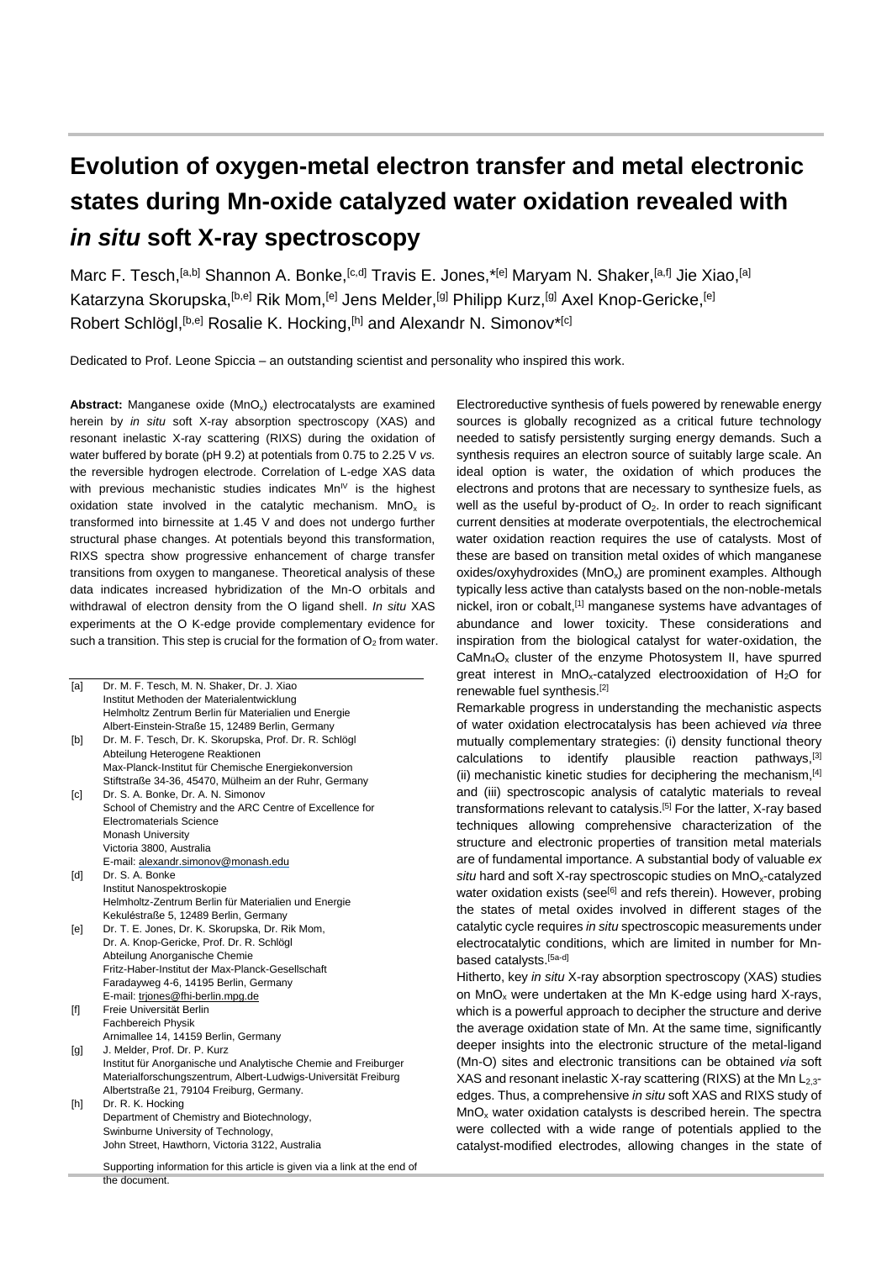## **Evolution of oxygen-metal electron transfer and metal electronic states during Mn-oxide catalyzed water oxidation revealed with**  *in situ* **soft X-ray spectroscopy**

Marc F. Tesch, <sup>[a,b]</sup> Shannon A. Bonke, <sup>[c,d]</sup> Travis E. Jones, \*<sup>[e]</sup> Maryam N. Shaker, <sup>[a,f]</sup> Jie Xiao, <sup>[a]</sup> Katarzyna Skorupska, <sup>[b,e]</sup> Rik Mom, <sup>[e]</sup> Jens Melder, <sup>[g]</sup> Philipp Kurz, <sup>[g]</sup> Axel Knop-Gericke, <sup>[e]</sup> Robert Schlögl, [b,e] Rosalie K. Hocking, [h] and Alexandr N. Simonov\*[c]

Dedicated to Prof. Leone Spiccia – an outstanding scientist and personality who inspired this work.

**Abstract:** Manganese oxide (MnO<sub>x</sub>) electrocatalysts are examined herein by *in situ* soft X-ray absorption spectroscopy (XAS) and resonant inelastic X-ray scattering (RIXS) during the oxidation of water buffered by borate (pH 9.2) at potentials from 0.75 to 2.25 V *vs.* the reversible hydrogen electrode. Correlation of L-edge XAS data with previous mechanistic studies indicates  $Mn^{\frac{1}{v}}$  is the highest oxidation state involved in the catalytic mechanism.  $MnO<sub>x</sub>$  is transformed into birnessite at 1.45 V and does not undergo further structural phase changes. At potentials beyond this transformation, RIXS spectra show progressive enhancement of charge transfer transitions from oxygen to manganese. Theoretical analysis of these data indicates increased hybridization of the Mn-O orbitals and withdrawal of electron density from the O ligand shell. *In situ* XAS experiments at the O K-edge provide complementary evidence for such a transition. This step is crucial for the formation of  $O<sub>2</sub>$  from water.

| [a]                                                                                                                                                                                              | Dr. M. F. Tesch, M. N. Shaker, Dr. J. Xiao                                |
|--------------------------------------------------------------------------------------------------------------------------------------------------------------------------------------------------|---------------------------------------------------------------------------|
|                                                                                                                                                                                                  | Institut Methoden der Materialentwicklung                                 |
|                                                                                                                                                                                                  | Helmholtz Zentrum Berlin für Materialien und Energie                      |
|                                                                                                                                                                                                  | Albert-Einstein-Straße 15, 12489 Berlin, Germany                          |
| [b]                                                                                                                                                                                              | Dr. M. F. Tesch, Dr. K. Skorupska, Prof. Dr. R. Schlögl                   |
|                                                                                                                                                                                                  | Abteilung Heterogene Reaktionen                                           |
|                                                                                                                                                                                                  | Max-Planck-Institut für Chemische Energiekonversion                       |
|                                                                                                                                                                                                  | Stiftstraße 34-36, 45470, Mülheim an der Ruhr, Germany                    |
| $\lceil c \rceil$                                                                                                                                                                                | Dr. S. A. Bonke, Dr. A. N. Simonov                                        |
|                                                                                                                                                                                                  | School of Chemistry and the ARC Centre of Excellence for                  |
|                                                                                                                                                                                                  | <b>Electromaterials Science</b>                                           |
|                                                                                                                                                                                                  | <b>Monash University</b>                                                  |
|                                                                                                                                                                                                  | Victoria 3800, Australia                                                  |
|                                                                                                                                                                                                  | E-mail: alexandr.simonov@monash.edu                                       |
| [d]                                                                                                                                                                                              | Dr. S. A. Bonke                                                           |
|                                                                                                                                                                                                  | Institut Nanospektroskopie                                                |
|                                                                                                                                                                                                  | Helmholtz-Zentrum Berlin für Materialien und Energie                      |
|                                                                                                                                                                                                  | Kekuléstraße 5, 12489 Berlin, Germany                                     |
| [el]                                                                                                                                                                                             | Dr. T. E. Jones, Dr. K. Skorupska, Dr. Rik Mom,                           |
|                                                                                                                                                                                                  | Dr. A. Knop-Gericke, Prof. Dr. R. Schlögl                                 |
|                                                                                                                                                                                                  | Abteilung Anorganische Chemie                                             |
|                                                                                                                                                                                                  | Fritz-Haber-Institut der Max-Planck-Gesellschaft                          |
|                                                                                                                                                                                                  | Faradayweg 4-6, 14195 Berlin, Germany                                     |
|                                                                                                                                                                                                  | E-mail: triones@fhi-berlin.mpg.de                                         |
| $[f] % \begin{center} % \includegraphics[width=\linewidth]{imagesSupplemental_3.png} % \end{center} % \caption { % Our method can be used for the use of the image. % } % \label{fig:example} %$ | Freie Universität Berlin                                                  |
|                                                                                                                                                                                                  | Fachbereich Physik                                                        |
|                                                                                                                                                                                                  | Arnimallee 14, 14159 Berlin, Germany                                      |
| [g]                                                                                                                                                                                              | J. Melder, Prof. Dr. P. Kurz                                              |
|                                                                                                                                                                                                  | Institut für Anorganische und Analytische Chemie and Freiburger           |
|                                                                                                                                                                                                  | Materialforschungszentrum, Albert-Ludwigs-Universität Freiburg            |
|                                                                                                                                                                                                  | Albertstraße 21, 79104 Freiburg, Germany.                                 |
| [h]                                                                                                                                                                                              | Dr. R. K. Hocking                                                         |
|                                                                                                                                                                                                  | Department of Chemistry and Biotechnology,                                |
|                                                                                                                                                                                                  | Swinburne University of Technology,                                       |
|                                                                                                                                                                                                  | John Street, Hawthorn, Victoria 3122, Australia                           |
|                                                                                                                                                                                                  | Supporting information for this article is given via a link at the end of |
|                                                                                                                                                                                                  | the document.                                                             |
|                                                                                                                                                                                                  |                                                                           |

Electroreductive synthesis of fuels powered by renewable energy sources is globally recognized as a critical future technology needed to satisfy persistently surging energy demands. Such a synthesis requires an electron source of suitably large scale. An ideal option is water, the oxidation of which produces the electrons and protons that are necessary to synthesize fuels, as well as the useful by-product of  $O<sub>2</sub>$ . In order to reach significant current densities at moderate overpotentials, the electrochemical water oxidation reaction requires the use of catalysts. Most of these are based on transition metal oxides of which manganese oxides/oxyhydroxides ( $MnO<sub>x</sub>$ ) are prominent examples. Although typically less active than catalysts based on the non-noble-metals nickel, iron or cobalt,<sup>[1]</sup> manganese systems have advantages of abundance and lower toxicity. These considerations and inspiration from the biological catalyst for water-oxidation, the  $CaMn<sub>4</sub>O<sub>x</sub>$  cluster of the enzyme Photosystem II, have spurred great interest in  $MnO<sub>x</sub>$ -catalyzed electrooxidation of  $H<sub>2</sub>O$  for renewable fuel synthesis.[2]

Remarkable progress in understanding the mechanistic aspects of water oxidation electrocatalysis has been achieved *via* three mutually complementary strategies: (i) density functional theory calculations to identify plausible reaction pathways,[3] (ii) mechanistic kinetic studies for deciphering the mechanism,[4] and (iii) spectroscopic analysis of catalytic materials to reveal transformations relevant to catalysis.<sup>[5]</sup> For the latter, X-ray based techniques allowing comprehensive characterization of the structure and electronic properties of transition metal materials are of fundamental importance. A substantial body of valuable *ex*  situ hard and soft X-ray spectroscopic studies on MnO<sub>x</sub>-catalyzed water oxidation exists (see<sup>[6]</sup> and refs therein). However, probing the states of metal oxides involved in different stages of the catalytic cycle requires *in situ* spectroscopic measurements under electrocatalytic conditions, which are limited in number for Mnbased catalysts.[5a-d]

Hitherto, key *in situ* X-ray absorption spectroscopy (XAS) studies on MnO<sup>x</sup> were undertaken at the Mn K-edge using hard X-rays, which is a powerful approach to decipher the structure and derive the average oxidation state of Mn. At the same time, significantly deeper insights into the electronic structure of the metal-ligand (Mn-O) sites and electronic transitions can be obtained *via* soft XAS and resonant inelastic X-ray scattering (RIXS) at the Mn  $L_{2,3}$ edges. Thus, a comprehensive *in situ* soft XAS and RIXS study of  $MnO<sub>x</sub>$  water oxidation catalysts is described herein. The spectra were collected with a wide range of potentials applied to the catalyst-modified electrodes, allowing changes in the state of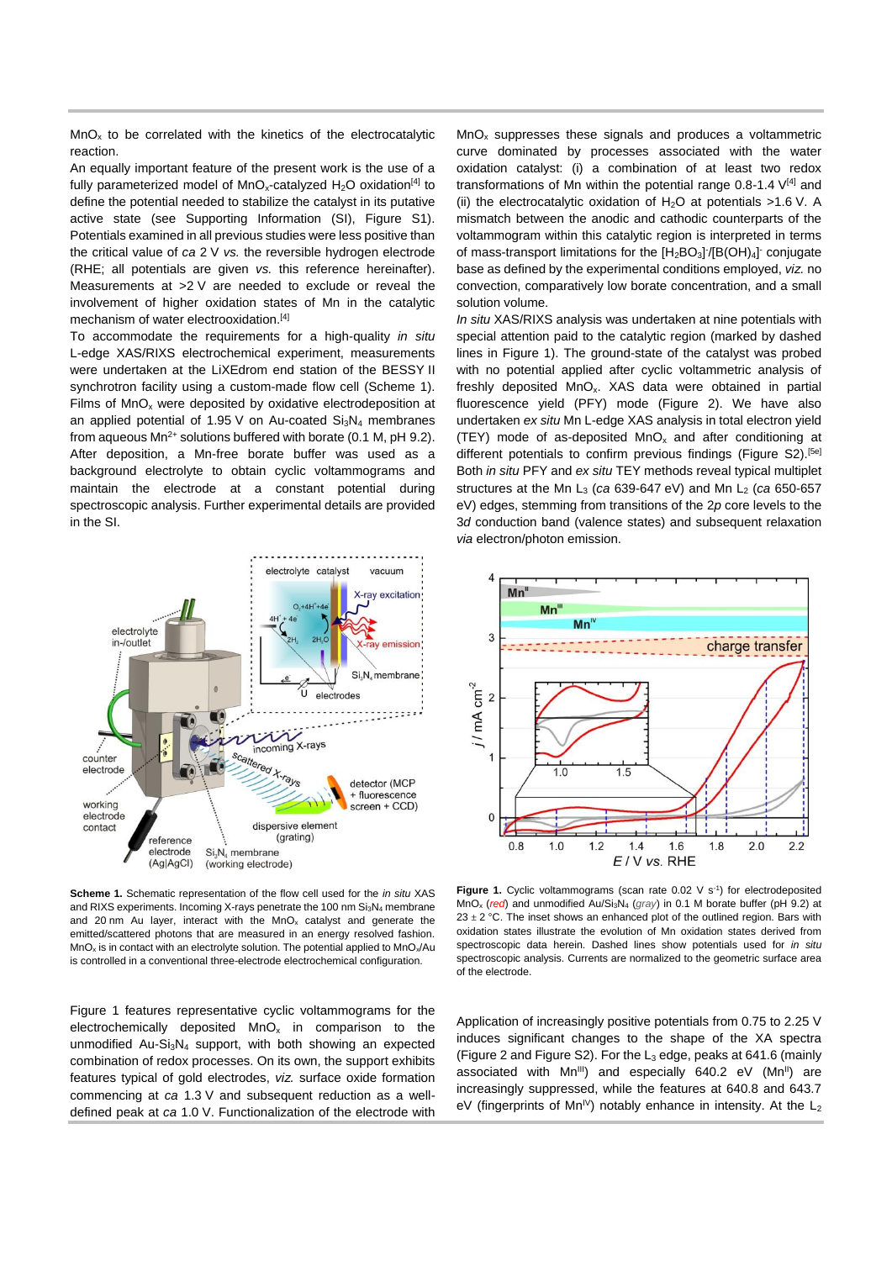$MnO<sub>x</sub>$  to be correlated with the kinetics of the electrocatalytic reaction.

An equally important feature of the present work is the use of a fully parameterized model of  $MnO<sub>x</sub>$ -catalyzed H<sub>2</sub>O oxidation<sup>[4]</sup> to define the potential needed to stabilize the catalyst in its putative active state (see Supporting Information (SI), Figure S1). Potentials examined in all previous studies were less positive than the critical value of *ca* 2 V *vs.* the reversible hydrogen electrode (RHE; all potentials are given *vs.* this reference hereinafter). Measurements at >2 V are needed to exclude or reveal the involvement of higher oxidation states of Mn in the catalytic mechanism of water electrooxidation.<sup>[4]</sup>

To accommodate the requirements for a high-quality *in situ* L-edge XAS/RIXS electrochemical experiment, measurements were undertaken at the LiXEdrom end station of the BESSY II synchrotron facility using a custom-made flow cell (Scheme 1). Films of  $MnO<sub>x</sub>$  were deposited by oxidative electrodeposition at an applied potential of 1.95 V on Au-coated  $Si<sub>3</sub>N<sub>4</sub>$  membranes from aqueous  $Mn^{2+}$  solutions buffered with borate (0.1 M, pH 9.2). After deposition, a Mn-free borate buffer was used as a background electrolyte to obtain cyclic voltammograms and maintain the electrode at a constant potential during spectroscopic analysis. Further experimental details are provided in the SI.



**Scheme 1.** Schematic representation of the flow cell used for the *in situ* XAS and RIXS experiments. Incoming X-rays penetrate the 100 nm Si<sub>3</sub>N<sub>4</sub> membrane and 20 nm Au layer, interact with the  $MnO<sub>x</sub>$  catalyst and generate the emitted/scattered photons that are measured in an energy resolved fashion.  $MnO<sub>x</sub>$  is in contact with an electrolyte solution. The potential applied to  $MnO<sub>x</sub>/Au$ is controlled in a conventional three-electrode electrochemical configuration.

Figure 1 features representative cyclic voltammograms for the electrochemically deposited  $MnO<sub>x</sub>$  in comparison to the unmodified Au-Si $_3$ N<sub>4</sub> support, with both showing an expected combination of redox processes. On its own, the support exhibits features typical of gold electrodes, *viz.* surface oxide formation commencing at *ca* 1.3 V and subsequent reduction as a welldefined peak at *ca* 1.0 V. Functionalization of the electrode with

 $MnO<sub>x</sub>$  suppresses these signals and produces a voltammetric curve dominated by processes associated with the water oxidation catalyst: (i) a combination of at least two redox transformations of Mn within the potential range  $0.8$ -1.4  $V^{[4]}$  and (ii) the electrocatalytic oxidation of  $H_2O$  at potentials >1.6 V. A mismatch between the anodic and cathodic counterparts of the voltammogram within this catalytic region is interpreted in terms of mass-transport limitations for the  $[H_2BO_3]$  /[B(OH)<sub>4</sub>] conjugate base as defined by the experimental conditions employed, *viz.* no convection, comparatively low borate concentration, and a small solution volume.

*In situ* XAS/RIXS analysis was undertaken at nine potentials with special attention paid to the catalytic region (marked by dashed lines in Figure 1). The ground-state of the catalyst was probed with no potential applied after cyclic voltammetric analysis of freshly deposited MnO<sub>x</sub>. XAS data were obtained in partial fluorescence yield (PFY) mode (Figure 2). We have also undertaken *ex situ* Mn L-edge XAS analysis in total electron yield (TEY) mode of as-deposited  $MnO<sub>x</sub>$  and after conditioning at different potentials to confirm previous findings (Figure S2).<sup>[5e]</sup> Both *in situ* PFY and *ex situ* TEY methods reveal typical multiplet structures at the Mn L<sub>3</sub> (*ca* 639-647 eV) and Mn L<sub>2</sub> (*ca* 650-657 eV) edges, stemming from transitions of the 2*p* core levels to the 3*d* conduction band (valence states) and subsequent relaxation *via* electron/photon emission.



**Figure 1.** Cyclic voltammograms (scan rate  $0.02 \, \text{V s}^{-1}$ ) for electrodeposited MnO<sup>x</sup> (*red*) and unmodified Au/Si3N<sup>4</sup> (*gray*) in 0.1 M borate buffer (pH 9.2) at  $23 \pm 2$  °C. The inset shows an enhanced plot of the outlined region. Bars with oxidation states illustrate the evolution of Mn oxidation states derived from spectroscopic data herein. Dashed lines show potentials used for *in situ* spectroscopic analysis. Currents are normalized to the geometric surface area of the electrode.

Application of increasingly positive potentials from 0.75 to 2.25 V induces significant changes to the shape of the XA spectra (Figure 2 and Figure S2). For the  $L_3$  edge, peaks at 641.6 (mainly associated with  $Mn^{III}$ ) and especially 640.2 eV ( $Mn^{II}$ ) are increasingly suppressed, while the features at 640.8 and 643.7 eV (fingerprints of Mn<sup>IV</sup>) notably enhance in intensity. At the  $L_2$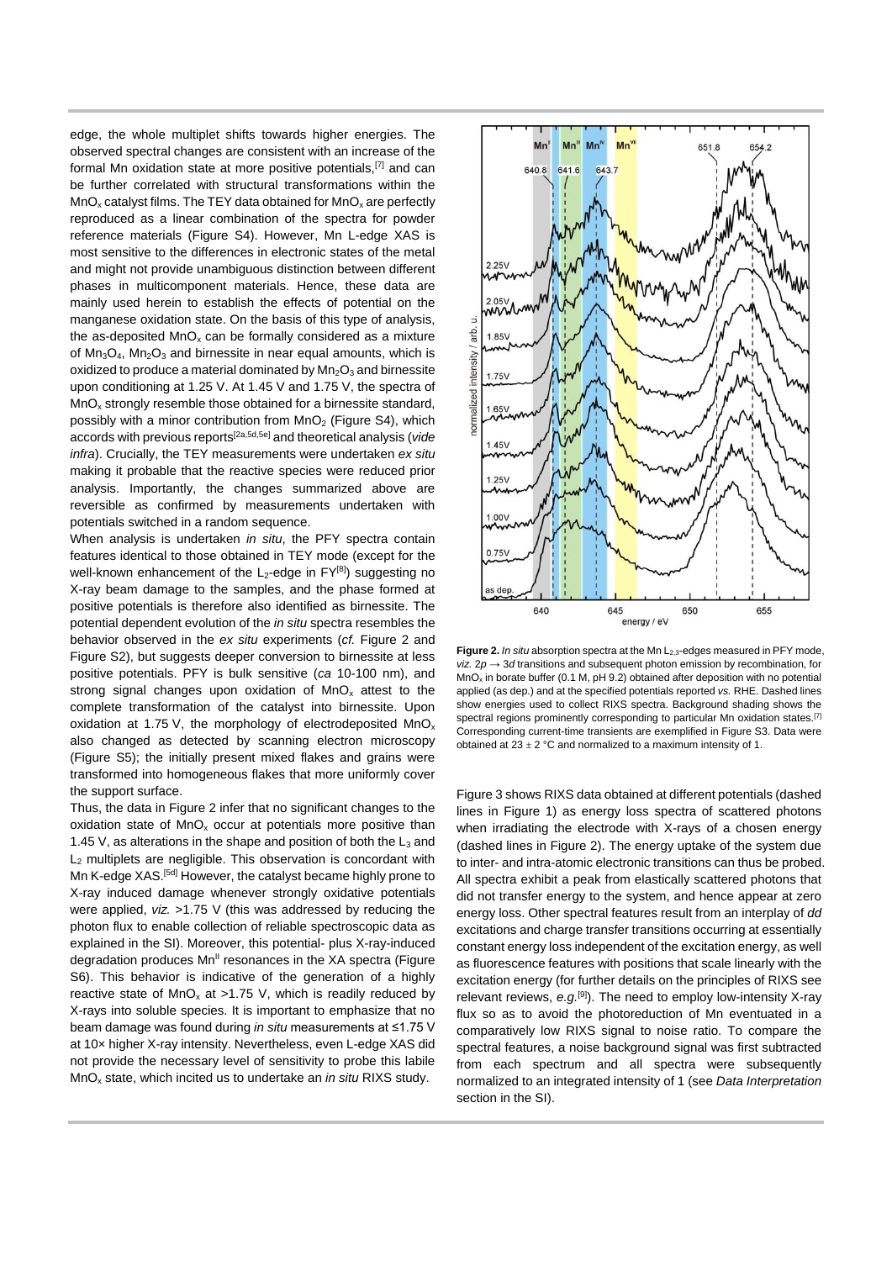edge, the whole multiplet shifts towards higher energies. The observed spectral changes are consistent with an increase of the formal Mn oxidation state at more positive potentials,[7] and can be further correlated with structural transformations within the  $MnO<sub>x</sub>$  catalyst films. The TEY data obtained for  $MnO<sub>x</sub>$  are perfectly reproduced as a linear combination of the spectra for powder reference materials (Figure S4). However, Mn L-edge XAS is most sensitive to the differences in electronic states of the metal and might not provide unambiguous distinction between different phases in multicomponent materials. Hence, these data are mainly used herein to establish the effects of potential on the manganese oxidation state. On the basis of this type of analysis, the as-deposited  $MnO<sub>x</sub>$  can be formally considered as a mixture of  $Mn_3O_4$ ,  $Mn_2O_3$  and birnessite in near equal amounts, which is oxidized to produce a material dominated by  $Mn<sub>2</sub>O<sub>3</sub>$  and birnessite upon conditioning at 1.25 V. At 1.45 V and 1.75 V, the spectra of  $MnO<sub>x</sub>$  strongly resemble those obtained for a birnessite standard, possibly with a minor contribution from  $MnO<sub>2</sub>$  (Figure S4), which accords with previous reports[2a,5d,5e] and theoretical analysis (*vide infra*). Crucially, the TEY measurements were undertaken *ex situ* making it probable that the reactive species were reduced prior analysis. Importantly, the changes summarized above are reversible as confirmed by measurements undertaken with potentials switched in a random sequence.

When analysis is undertaken *in situ*, the PFY spectra contain features identical to those obtained in TEY mode (except for the well-known enhancement of the  $L_2$ -edge in  $FY^{[8]}$ ) suggesting no X-ray beam damage to the samples, and the phase formed at positive potentials is therefore also identified as birnessite. The potential dependent evolution of the *in situ* spectra resembles the behavior observed in the *ex situ* experiments (*cf.* Figure 2 and Figure S2), but suggests deeper conversion to birnessite at less positive potentials. PFY is bulk sensitive (*ca* 10-100 nm), and strong signal changes upon oxidation of  $MnO<sub>x</sub>$  attest to the complete transformation of the catalyst into birnessite. Upon oxidation at 1.75 V, the morphology of electrodeposited  $MnO<sub>x</sub>$ also changed as detected by scanning electron microscopy (Figure S5); the initially present mixed flakes and grains were transformed into homogeneous flakes that more uniformly cover the support surface.

Thus, the data in Figure 2 infer that no significant changes to the oxidation state of  $MnO<sub>x</sub>$  occur at potentials more positive than 1.45 V, as alterations in the shape and position of both the  $L_3$  and L<sup>2</sup> multiplets are negligible. This observation is concordant with Mn K-edge XAS.[5d] However, the catalyst became highly prone to X-ray induced damage whenever strongly oxidative potentials were applied, *viz.* >1.75 V (this was addressed by reducing the photon flux to enable collection of reliable spectroscopic data as explained in the SI). Moreover, this potential- plus X-ray-induced degradation produces  $Mn<sup>II</sup>$  resonances in the XA spectra (Figure S6). This behavior is indicative of the generation of a highly reactive state of  $MnO_x$  at >1.75 V, which is readily reduced by X-rays into soluble species. It is important to emphasize that no beam damage was found during *in situ* measurements at ≤1.75 V at 10× higher X-ray intensity. Nevertheless, even L-edge XAS did not provide the necessary level of sensitivity to probe this labile MnO<sup>x</sup> state, which incited us to undertake an *in situ* RIXS study.



Figure 2. *In situ* absorption spectra at the Mn L<sub>2,3</sub>-edges measured in PFY mode, *viz.*  $2p \rightarrow 3d$  transitions and subsequent photon emission by recombination, for MnO<sup>x</sup> in borate buffer (0.1 M, pH 9.2) obtained after deposition with no potential applied (as dep.) and at the specified potentials reported *vs.* RHE. Dashed lines show energies used to collect RIXS spectra. Background shading shows the spectral regions prominently corresponding to particular Mn oxidation states.<sup>[7]</sup> Corresponding current-time transients are exemplified in Figure S3. Data were obtained at  $23 \pm 2$  °C and normalized to a maximum intensity of 1.

Figure 3 shows RIXS data obtained at different potentials (dashed lines in Figure 1) as energy loss spectra of scattered photons when irradiating the electrode with X-rays of a chosen energy (dashed lines in Figure 2). The energy uptake of the system due to inter- and intra-atomic electronic transitions can thus be probed. All spectra exhibit a peak from elastically scattered photons that did not transfer energy to the system, and hence appear at zero energy loss. Other spectral features result from an interplay of *dd* excitations and charge transfer transitions occurring at essentially constant energy loss independent of the excitation energy, as well as fluorescence features with positions that scale linearly with the excitation energy (for further details on the principles of RIXS see relevant reviews, *e.g.*[9] ). The need to employ low-intensity X-ray flux so as to avoid the photoreduction of Mn eventuated in a comparatively low RIXS signal to noise ratio. To compare the spectral features, a noise background signal was first subtracted from each spectrum and all spectra were subsequently normalized to an integrated intensity of 1 (see *Data Interpretation* section in the SI).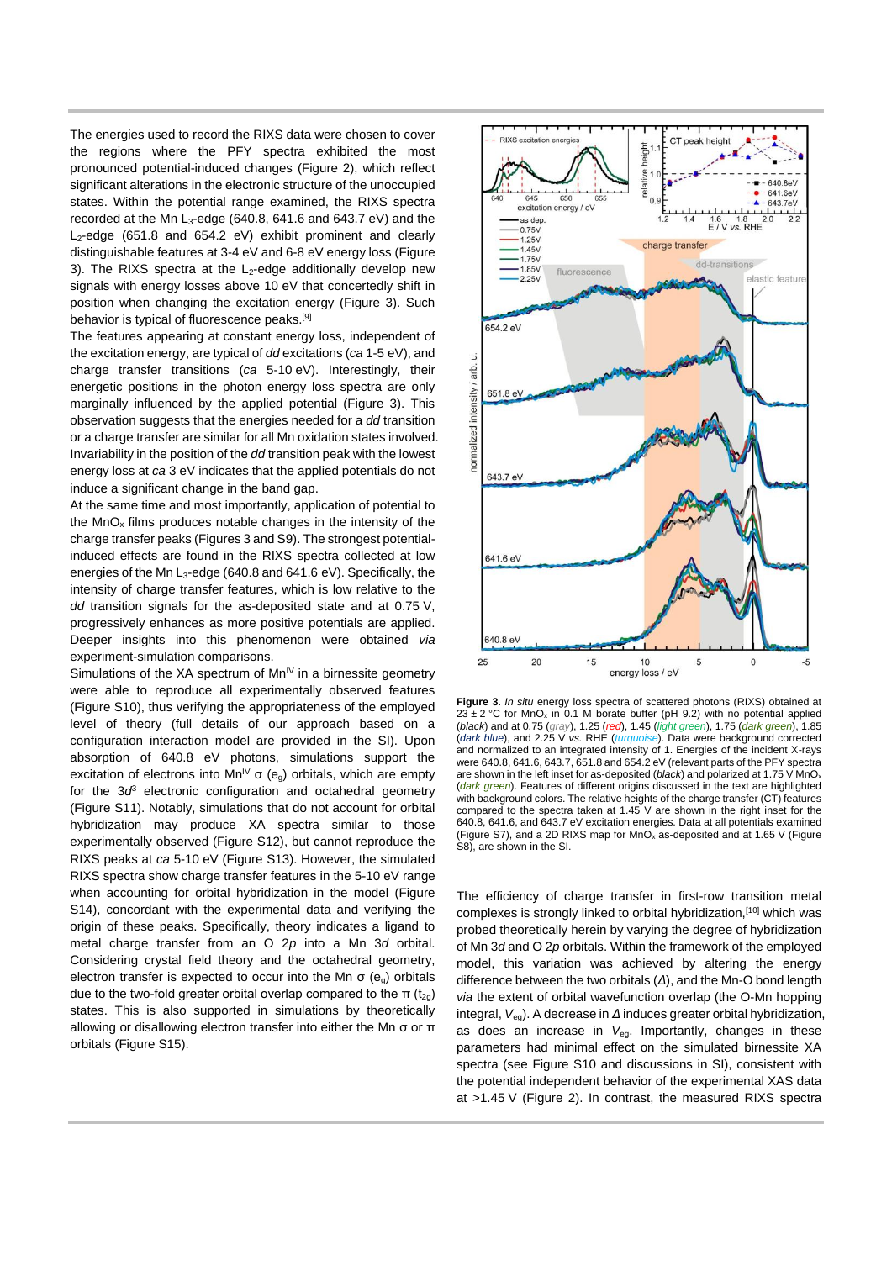The energies used to record the RIXS data were chosen to cover the regions where the PFY spectra exhibited the most pronounced potential-induced changes (Figure 2), which reflect significant alterations in the electronic structure of the unoccupied states. Within the potential range examined, the RIXS spectra recorded at the Mn  $L_3$ -edge (640.8, 641.6 and 643.7 eV) and the  $L_2$ -edge (651.8 and 654.2 eV) exhibit prominent and clearly distinguishable features at 3-4 eV and 6-8 eV energy loss (Figure 3). The RIXS spectra at the  $L_2$ -edge additionally develop new signals with energy losses above 10 eV that concertedly shift in position when changing the excitation energy (Figure 3). Such behavior is typical of fluorescence peaks.[9]

The features appearing at constant energy loss, independent of the excitation energy, are typical of *dd* excitations (*ca* 1-5 eV), and charge transfer transitions (*ca* 5-10 eV). Interestingly, their energetic positions in the photon energy loss spectra are only marginally influenced by the applied potential (Figure 3). This observation suggests that the energies needed for a *dd* transition or a charge transfer are similar for all Mn oxidation states involved. Invariability in the position of the *dd* transition peak with the lowest energy loss at *ca* 3 eV indicates that the applied potentials do not induce a significant change in the band gap.

At the same time and most importantly, application of potential to the  $MnO<sub>x</sub>$  films produces notable changes in the intensity of the charge transfer peaks (Figures 3 and S9). The strongest potentialinduced effects are found in the RIXS spectra collected at low energies of the Mn L<sub>3</sub>-edge (640.8 and 641.6 eV). Specifically, the intensity of charge transfer features, which is low relative to the *dd* transition signals for the as-deposited state and at 0.75 V, progressively enhances as more positive potentials are applied. Deeper insights into this phenomenon were obtained *via*  experiment-simulation comparisons.

Simulations of the XA spectrum of  $Mn^{\mid V}$  in a birnessite geometry were able to reproduce all experimentally observed features (Figure S10), thus verifying the appropriateness of the employed level of theory (full details of our approach based on a configuration interaction model are provided in the SI). Upon absorption of 640.8 eV photons, simulations support the excitation of electrons into  $Mn^{\vee} \sigma$  (e<sub>g</sub>) orbitals, which are empty for the 3*d* <sup>3</sup> electronic configuration and octahedral geometry (Figure S11). Notably, simulations that do not account for orbital hybridization may produce XA spectra similar to those experimentally observed (Figure S12), but cannot reproduce the RIXS peaks at *ca* 5-10 eV (Figure S13). However, the simulated RIXS spectra show charge transfer features in the 5-10 eV range when accounting for orbital hybridization in the model (Figure S14), concordant with the experimental data and verifying the origin of these peaks. Specifically, theory indicates a ligand to metal charge transfer from an O 2*p* into a Mn 3*d* orbital. Considering crystal field theory and the octahedral geometry, electron transfer is expected to occur into the Mn  $\sigma$  (e<sub>g</sub>) orbitals due to the two-fold greater orbital overlap compared to the π  $(t<sub>20</sub>)$ states. This is also supported in simulations by theoretically allowing or disallowing electron transfer into either the Mn σ or π orbitals (Figure S15).



**Figure 3.** *In situ* energy loss spectra of scattered photons (RIXS) obtained at  $23 \pm 2$  °C for MnO<sub>x</sub> in 0.1 M borate buffer (pH 9.2) with no potential applied (*black*) and at 0.75 (*gray*), 1.25 (*red*), 1.45 (*light green*), 1.75 (*dark green*), 1.85 (*dark blue*), and 2.25 V *vs.* RHE (*turquoise*). Data were background corrected and normalized to an integrated intensity of 1. Energies of the incident X-rays were 640.8, 641.6, 643.7, 651.8 and 654.2 eV (relevant parts of the PFY spectra are shown in the left inset for as-deposited (*black*) and polarized at 1.75 V MnO<sup>x</sup> (*dark green*). Features of different origins discussed in the text are highlighted with background colors. The relative heights of the charge transfer (CT) features compared to the spectra taken at 1.45 V are shown in the right inset for the 640.8, 641.6, and 643.7 eV excitation energies. Data at all potentials examined (Figure S7), and a 2D RIXS map for  $MnO<sub>x</sub>$  as-deposited and at 1.65 V (Figure S8), are shown in the SI.

The efficiency of charge transfer in first-row transition metal complexes is strongly linked to orbital hybridization,[10] which was probed theoretically herein by varying the degree of hybridization of Mn 3*d* and O 2*p* orbitals. Within the framework of the employed model, this variation was achieved by altering the energy difference between the two orbitals (*Δ*), and the Mn-O bond length *via* the extent of orbital wavefunction overlap (the O-Mn hopping integral, *V<sub>eg</sub>*). A decrease in Δ induces greater orbital hybridization, as does an increase in *V*eg. Importantly, changes in these parameters had minimal effect on the simulated birnessite XA spectra (see Figure S10 and discussions in SI), consistent with the potential independent behavior of the experimental XAS data at >1.45 V (Figure 2). In contrast, the measured RIXS spectra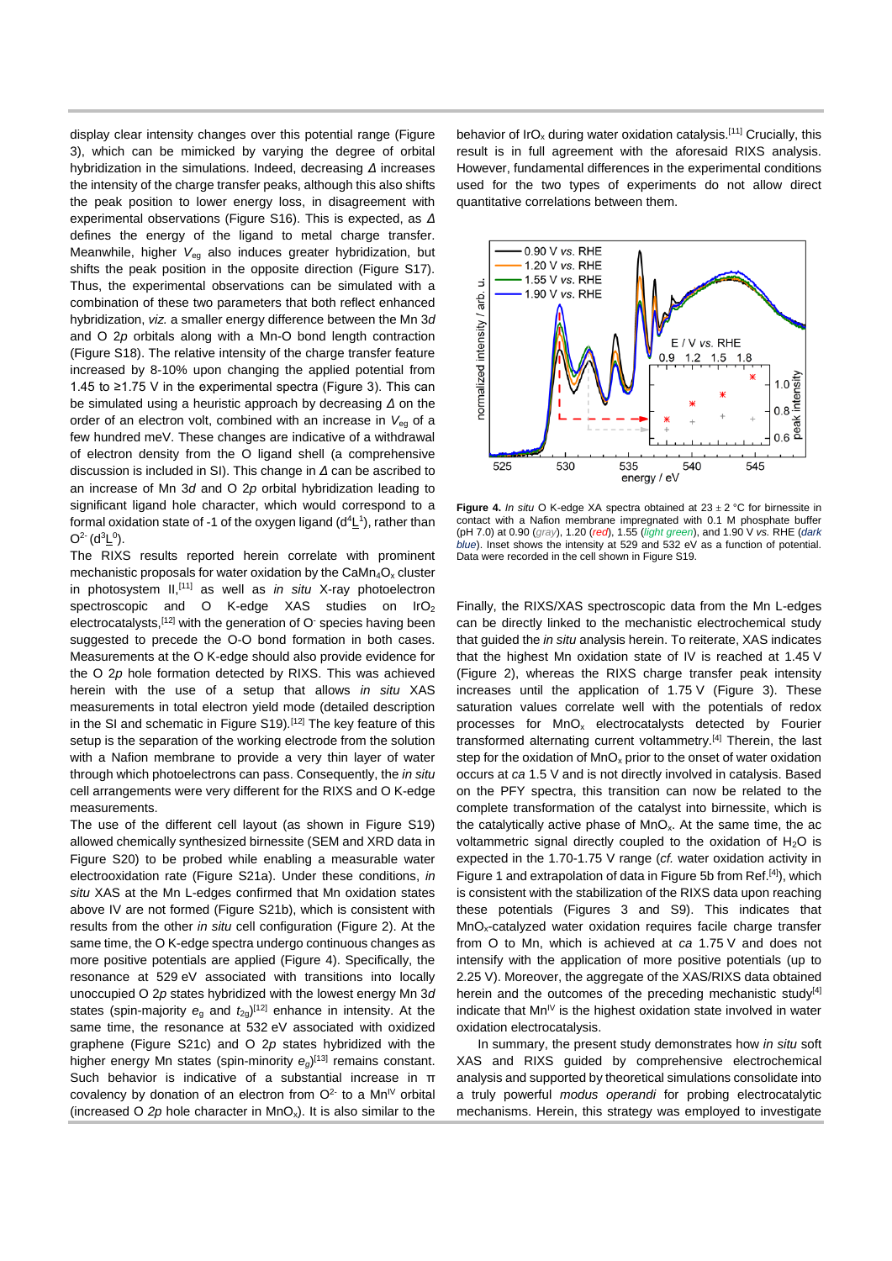display clear intensity changes over this potential range (Figure 3), which can be mimicked by varying the degree of orbital hybridization in the simulations. Indeed, decreasing *Δ* increases the intensity of the charge transfer peaks, although this also shifts the peak position to lower energy loss, in disagreement with experimental observations (Figure S16). This is expected, as *Δ* defines the energy of the ligand to metal charge transfer. Meanwhile, higher *V*eg also induces greater hybridization, but shifts the peak position in the opposite direction (Figure S17). Thus, the experimental observations can be simulated with a combination of these two parameters that both reflect enhanced hybridization, *viz.* a smaller energy difference between the Mn 3*d* and O 2*p* orbitals along with a Mn-O bond length contraction (Figure S18). The relative intensity of the charge transfer feature increased by 8-10% upon changing the applied potential from 1.45 to ≥1.75 V in the experimental spectra (Figure 3). This can be simulated using a heuristic approach by decreasing *Δ* on the order of an electron volt, combined with an increase in *V*eg of a few hundred meV. These changes are indicative of a withdrawal of electron density from the O ligand shell (a comprehensive discussion is included in SI). This change in *Δ* can be ascribed to an increase of Mn 3*d* and O 2*p* orbital hybridization leading to significant ligand hole character, which would correspond to a formal oxidation state of -1 of the oxygen ligand  $(d^4L^1)$ , rather than  $O^{2}$ - (d<sup>3</sup>L<sup>0</sup>).

The RIXS results reported herein correlate with prominent mechanistic proposals for water oxidation by the  $Cam_{4}O_{x}$  cluster in photosystem II,[11] as well as *in situ* X-ray photoelectron spectroscopic and O K-edge XAS studies on IrO<sub>2</sub> electrocatalysts,  $[12]$  with the generation of O species having been suggested to precede the O-O bond formation in both cases. Measurements at the O K-edge should also provide evidence for the O 2*p* hole formation detected by RIXS. This was achieved herein with the use of a setup that allows *in situ* XAS measurements in total electron yield mode (detailed description in the SI and schematic in Figure S19)*.* [12] The key feature of this setup is the separation of the working electrode from the solution with a Nafion membrane to provide a very thin layer of water through which photoelectrons can pass. Consequently, the *in situ* cell arrangements were very different for the RIXS and O K-edge measurements.

The use of the different cell layout (as shown in Figure S19) allowed chemically synthesized birnessite (SEM and XRD data in Figure S20) to be probed while enabling a measurable water electrooxidation rate (Figure S21a). Under these conditions, *in situ* XAS at the Mn L-edges confirmed that Mn oxidation states above IV are not formed (Figure S21b), which is consistent with results from the other *in situ* cell configuration (Figure 2). At the same time, the O K-edge spectra undergo continuous changes as more positive potentials are applied (Figure 4). Specifically, the resonance at 529 eV associated with transitions into locally unoccupied O 2*p* states hybridized with the lowest energy Mn 3*d* states (spin-majority  $e<sub>g</sub>$  and  $t<sub>2g</sub>$ )<sup>[12]</sup> enhance in intensity. At the same time, the resonance at 532 eV associated with oxidized graphene (Figure S21c) and O 2*p* states hybridized with the higher energy Mn states (spin-minority  $e_g$ )<sup>[13]</sup> remains constant. Such behavior is indicative of a substantial increase in π covalency by donation of an electron from  $O^{2}$  to a Mn<sup>IV</sup> orbital (increased O  $2p$  hole character in  $MnO<sub>x</sub>$ ). It is also similar to the

behavior of IrO<sub>x</sub> during water oxidation catalysis.<sup>[11]</sup> Crucially, this result is in full agreement with the aforesaid RIXS analysis. However, fundamental differences in the experimental conditions used for the two types of experiments do not allow direct quantitative correlations between them.



**Figure 4.** *In situ* O K-edge XA spectra obtained at 23 ± 2 °C for birnessite in contact with a Nafion membrane impregnated with 0.1 M phosphate buffer (pH 7.0) at 0.90 (*gray*), 1.20 (*red*), 1.55 (*light green*), and 1.90 V *vs.* RHE (*dark blue*). Inset shows the intensity at 529 and 532 eV as a function of potential. Data were recorded in the cell shown in Figure S19.

Finally, the RIXS/XAS spectroscopic data from the Mn L-edges can be directly linked to the mechanistic electrochemical study that guided the *in situ* analysis herein. To reiterate, XAS indicates that the highest Mn oxidation state of IV is reached at 1.45 V (Figure 2), whereas the RIXS charge transfer peak intensity increases until the application of 1.75 V (Figure 3). These saturation values correlate well with the potentials of redox processes for MnO<sup>x</sup> electrocatalysts detected by Fourier transformed alternating current voltammetry.<sup>[4]</sup> Therein, the last step for the oxidation of  $MnO<sub>x</sub>$  prior to the onset of water oxidation occurs at *ca* 1.5 V and is not directly involved in catalysis. Based on the PFY spectra, this transition can now be related to the complete transformation of the catalyst into birnessite, which is the catalytically active phase of  $MnO<sub>x</sub>$ . At the same time, the ac voltammetric signal directly coupled to the oxidation of H<sub>2</sub>O is expected in the 1.70-1.75 V range (*cf.* water oxidation activity in Figure 1 and extrapolation of data in Figure 5b from Ref.[4]), which is consistent with the stabilization of the RIXS data upon reaching these potentials (Figures 3 and S9). This indicates that MnOx-catalyzed water oxidation requires facile charge transfer from O to Mn, which is achieved at *ca* 1.75 V and does not intensify with the application of more positive potentials (up to 2.25 V). Moreover, the aggregate of the XAS/RIXS data obtained herein and the outcomes of the preceding mechanistic study<sup>[4]</sup> indicate that  $Mn^{\frac{1}{v}}$  is the highest oxidation state involved in water oxidation electrocatalysis.

In summary, the present study demonstrates how *in situ* soft XAS and RIXS guided by comprehensive electrochemical analysis and supported by theoretical simulations consolidate into a truly powerful *modus operandi* for probing electrocatalytic mechanisms. Herein, this strategy was employed to investigate